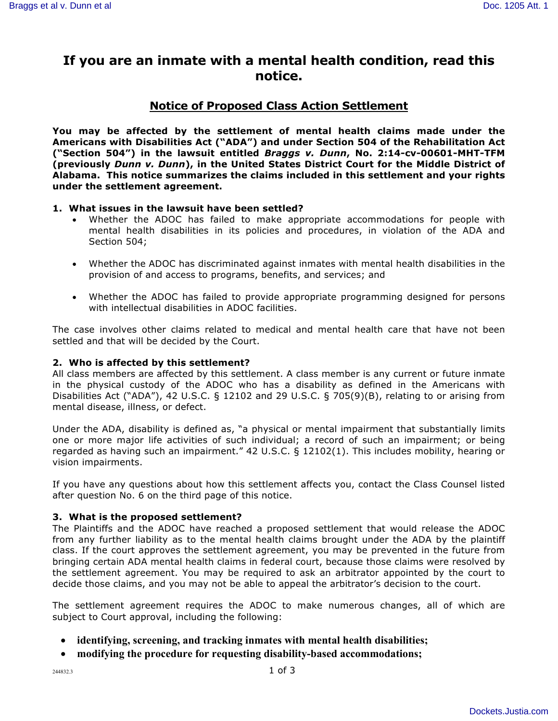# **If you are an inmate with a mental health condition, read this notice.**

# **Notice of Proposed Class Action Settlement**

**You may be affected by the settlement of mental health claims made under the Americans with Disabilities Act ("ADA") and under Section 504 of the Rehabilitation Act ("Section 504") in the lawsuit entitled** *Braggs v. Dunn***, No. 2:14-cv-00601-MHT-TFM (previously** *Dunn v. Dunn***), in the United States District Court for the Middle District of Alabama. This notice summarizes the claims included in this settlement and your rights under the settlement agreement.**

#### **1. What issues in the lawsuit have been settled?**

- Whether the ADOC has failed to make appropriate accommodations for people with mental health disabilities in its policies and procedures, in violation of the ADA and Section 504;
- Whether the ADOC has discriminated against inmates with mental health disabilities in the provision of and access to programs, benefits, and services; and
- Whether the ADOC has failed to provide appropriate programming designed for persons with intellectual disabilities in ADOC facilities.

The case involves other claims related to medical and mental health care that have not been settled and that will be decided by the Court.

#### **2. Who is affected by this settlement?**

All class members are affected by this settlement. A class member is any current or future inmate in the physical custody of the ADOC who has a disability as defined in the Americans with Disabilities Act ("ADA"), 42 U.S.C. § 12102 and 29 U.S.C. § 705(9)(B), relating to or arising from mental disease, illness, or defect.

Under the ADA, disability is defined as, "a physical or mental impairment that substantially limits one or more major life activities of such individual; a record of such an impairment; or being regarded as having such an impairment." 42 U.S.C. § 12102(1). This includes mobility, hearing or vision impairments.

If you have any questions about how this settlement affects you, contact the Class Counsel listed after question No. 6 on the third page of this notice.

#### **3. What is the proposed settlement?**

The Plaintiffs and the ADOC have reached a proposed settlement that would release the ADOC from any further liability as to the mental health claims brought under the ADA by the plaintiff class. If the court approves the settlement agreement, you may be prevented in the future from bringing certain ADA mental health claims in federal court, because those claims were resolved by the settlement agreement. You may be required to ask an arbitrator appointed by the court to decide those claims, and you may not be able to appeal the arbitrator's decision to the court.

The settlement agreement requires the ADOC to make numerous changes, all of which are subject to Court approval, including the following:

- **identifying, screening, and tracking inmates with mental health disabilities;**
- **modifying the procedure for requesting disability-based accommodations;**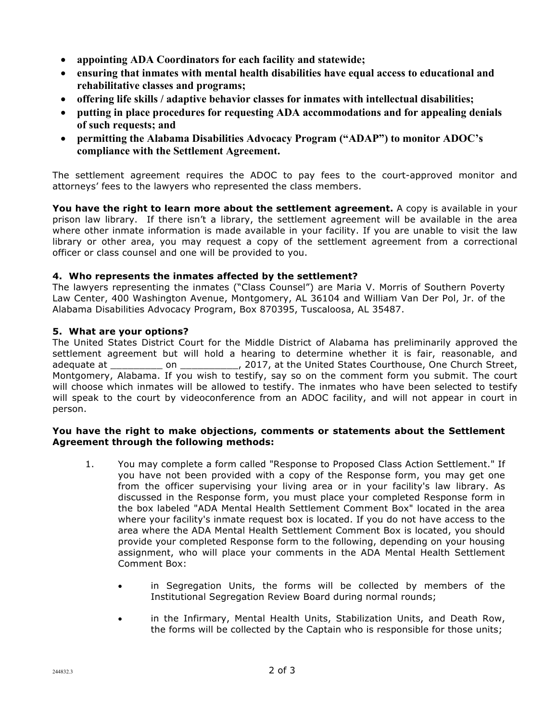- **appointing ADA Coordinators for each facility and statewide;**
- **ensuring that inmates with mental health disabilities have equal access to educational and rehabilitative classes and programs;**
- **offering life skills / adaptive behavior classes for inmates with intellectual disabilities;**
- **putting in place procedures for requesting ADA accommodations and for appealing denials of such requests; and**
- **permitting the Alabama Disabilities Advocacy Program ("ADAP") to monitor ADOC's compliance with the Settlement Agreement.**

The settlement agreement requires the ADOC to pay fees to the court-approved monitor and attorneys' fees to the lawyers who represented the class members.

**You have the right to learn more about the settlement agreement.** A copy is available in your prison law library. If there isn't a library, the settlement agreement will be available in the area where other inmate information is made available in your facility. If you are unable to visit the law library or other area, you may request a copy of the settlement agreement from a correctional officer or class counsel and one will be provided to you.

# **4. Who represents the inmates affected by the settlement?**

The lawyers representing the inmates ("Class Counsel") are Maria V. Morris of Southern Poverty Law Center, 400 Washington Avenue, Montgomery, AL 36104 and William Van Der Pol, Jr. of the Alabama Disabilities Advocacy Program, Box 870395, Tuscaloosa, AL 35487.

#### **5. What are your options?**

The United States District Court for the Middle District of Alabama has preliminarily approved the settlement agreement but will hold a hearing to determine whether it is fair, reasonable, and adequate at \_\_\_\_\_\_\_\_\_\_ on \_\_\_\_\_\_\_\_\_\_\_, 2017, at the United States Courthouse, One Church Street, Montgomery, Alabama. If you wish to testify, say so on the comment form you submit. The court will choose which inmates will be allowed to testify. The inmates who have been selected to testify will speak to the court by videoconference from an ADOC facility, and will not appear in court in person.

#### **You have the right to make objections, comments or statements about the Settlement Agreement through the following methods:**

- 1. You may complete a form called "Response to Proposed Class Action Settlement." If you have not been provided with a copy of the Response form, you may get one from the officer supervising your living area or in your facility's law library. As discussed in the Response form, you must place your completed Response form in the box labeled "ADA Mental Health Settlement Comment Box" located in the area where your facility's inmate request box is located. If you do not have access to the area where the ADA Mental Health Settlement Comment Box is located, you should provide your completed Response form to the following, depending on your housing assignment, who will place your comments in the ADA Mental Health Settlement Comment Box:
	- in Segregation Units, the forms will be collected by members of the Institutional Segregation Review Board during normal rounds;
	- in the Infirmary, Mental Health Units, Stabilization Units, and Death Row, the forms will be collected by the Captain who is responsible for those units;